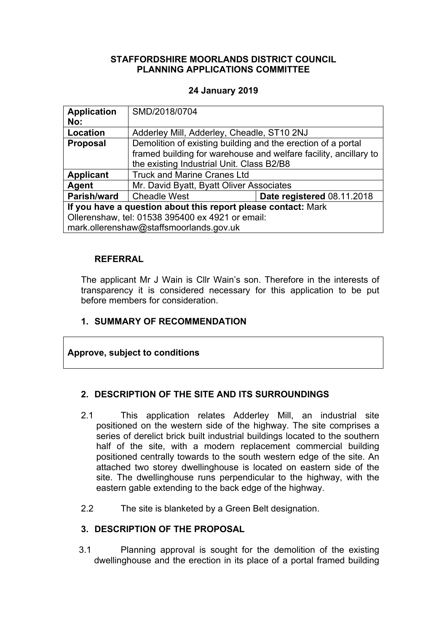### **STAFFORDSHIRE MOORLANDS DISTRICT COUNCIL PLANNING APPLICATIONS COMMITTEE**

## **24 January 2019**

| <b>Application</b><br>No:                                     | SMD/2018/0704                                                                                                                    |                            |  |
|---------------------------------------------------------------|----------------------------------------------------------------------------------------------------------------------------------|----------------------------|--|
| Location                                                      | Adderley Mill, Adderley, Cheadle, ST10 2NJ                                                                                       |                            |  |
| <b>Proposal</b>                                               | Demolition of existing building and the erection of a portal<br>framed building for warehouse and welfare facility, ancillary to |                            |  |
|                                                               | the existing Industrial Unit. Class B2/B8                                                                                        |                            |  |
| <b>Applicant</b>                                              | <b>Truck and Marine Cranes Ltd</b>                                                                                               |                            |  |
| Agent                                                         | Mr. David Byatt, Byatt Oliver Associates                                                                                         |                            |  |
| Parish/ward                                                   | <b>Cheadle West</b>                                                                                                              | Date registered 08.11.2018 |  |
| If you have a question about this report please contact: Mark |                                                                                                                                  |                            |  |
| Ollerenshaw, tel: 01538 395400 ex 4921 or email:              |                                                                                                                                  |                            |  |
| mark.ollerenshaw@staffsmoorlands.gov.uk                       |                                                                                                                                  |                            |  |

### **REFERRAL**

The applicant Mr J Wain is Cllr Wain's son. Therefore in the interests of transparency it is considered necessary for this application to be put before members for consideration.

## **1. SUMMARY OF RECOMMENDATION**

### **Approve, subject to conditions**

### **2. DESCRIPTION OF THE SITE AND ITS SURROUNDINGS**

- 2.1 This application relates Adderley Mill, an industrial site positioned on the western side of the highway. The site comprises a series of derelict brick built industrial buildings located to the southern half of the site, with a modern replacement commercial building positioned centrally towards to the south western edge of the site. An attached two storey dwellinghouse is located on eastern side of the site. The dwellinghouse runs perpendicular to the highway, with the eastern gable extending to the back edge of the highway.
- 2.2 The site is blanketed by a Green Belt designation.

### **3. DESCRIPTION OF THE PROPOSAL**

3.1 Planning approval is sought for the demolition of the existing dwellinghouse and the erection in its place of a portal framed building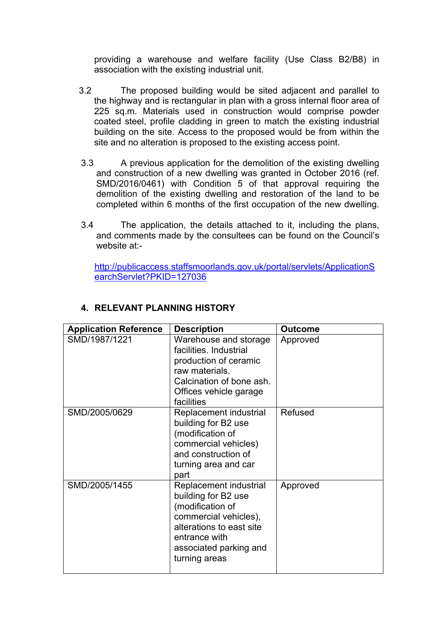providing a warehouse and welfare facility (Use Class B2/B8) in association with the existing industrial unit.

- 3.2 The proposed building would be sited adjacent and parallel to the highway and is rectangular in plan with a gross internal floor area of 225 sq.m. Materials used in construction would comprise powder coated steel, profile cladding in green to match the existing industrial building on the site. Access to the proposed would be from within the site and no alteration is proposed to the existing access point.
- 3.3 A previous application for the demolition of the existing dwelling and construction of a new dwelling was granted in October 2016 (ref. SMD/2016/0461) with Condition 5 of that approval requiring the demolition of the existing dwelling and restoration of the land to be completed within 6 months of the first occupation of the new dwelling.
- 3.4 The application, the details attached to it, including the plans, and comments made by the consultees can be found on the Council's website at:-

[http://publicaccess.staffsmoorlands.gov.uk/portal/servlets/ApplicationS](http://publicaccess.staffsmoorlands.gov.uk/portal/servlets/ApplicationSearchServlet?PKID=127036) [earchServlet?PKID=127036](http://publicaccess.staffsmoorlands.gov.uk/portal/servlets/ApplicationSearchServlet?PKID=127036)

| <b>Application Reference</b> | <b>Description</b>                                                                                                                                                                 | <b>Outcome</b> |
|------------------------------|------------------------------------------------------------------------------------------------------------------------------------------------------------------------------------|----------------|
| SMD/1987/1221                | Warehouse and storage<br>facilities. Industrial<br>production of ceramic<br>raw materials.<br>Calcination of bone ash.<br>Offices vehicle garage<br>facilities                     | Approved       |
| SMD/2005/0629                | Replacement industrial<br>building for B2 use<br>(modification of<br>commercial vehicles)<br>and construction of<br>turning area and car<br>part                                   | Refused        |
| SMD/2005/1455                | Replacement industrial<br>building for B2 use<br>(modification of<br>commercial vehicles),<br>alterations to east site<br>entrance with<br>associated parking and<br>turning areas | Approved       |

# **4. RELEVANT PLANNING HISTORY**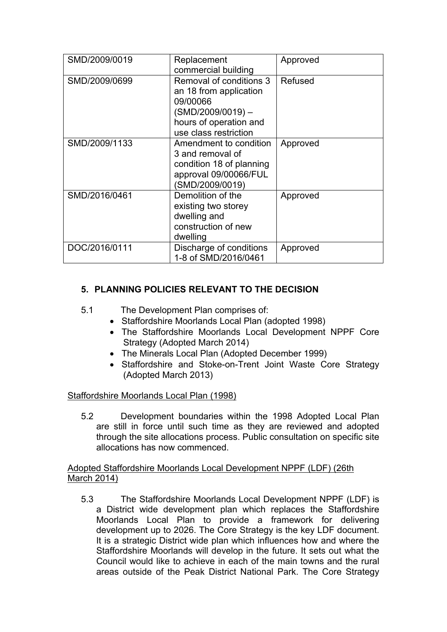| SMD/2009/0019 | Replacement<br>commercial building                                                                                                   | Approved |
|---------------|--------------------------------------------------------------------------------------------------------------------------------------|----------|
| SMD/2009/0699 | Removal of conditions 3<br>an 18 from application<br>09/00066<br>(SMD/2009/0019)-<br>hours of operation and<br>use class restriction | Refused  |
| SMD/2009/1133 | Amendment to condition<br>3 and removal of<br>condition 18 of planning<br>approval 09/00066/FUL<br>(SMD/2009/0019)                   | Approved |
| SMD/2016/0461 | Demolition of the<br>existing two storey<br>dwelling and<br>construction of new<br>dwelling                                          | Approved |
| DOC/2016/0111 | Discharge of conditions<br>1-8 of SMD/2016/0461                                                                                      | Approved |

# **5. PLANNING POLICIES RELEVANT TO THE DECISION**

- 5.1 The Development Plan comprises of:
	- Staffordshire Moorlands Local Plan (adopted 1998)
	- The Staffordshire Moorlands Local Development NPPF Core Strategy (Adopted March 2014)
	- The Minerals Local Plan (Adopted December 1999)
	- Staffordshire and Stoke-on-Trent Joint Waste Core Strategy (Adopted March 2013)

### Staffordshire Moorlands Local Plan (1998)

5.2 Development boundaries within the 1998 Adopted Local Plan are still in force until such time as they are reviewed and adopted through the site allocations process. Public consultation on specific site allocations has now commenced.

### Adopted Staffordshire Moorlands Local Development NPPF (LDF) (26th March 2014)

5.3 The Staffordshire Moorlands Local Development NPPF (LDF) is a District wide development plan which replaces the Staffordshire Moorlands Local Plan to provide a framework for delivering development up to 2026. The Core Strategy is the key LDF document. It is a strategic District wide plan which influences how and where the Staffordshire Moorlands will develop in the future. It sets out what the Council would like to achieve in each of the main towns and the rural areas outside of the Peak District National Park. The Core Strategy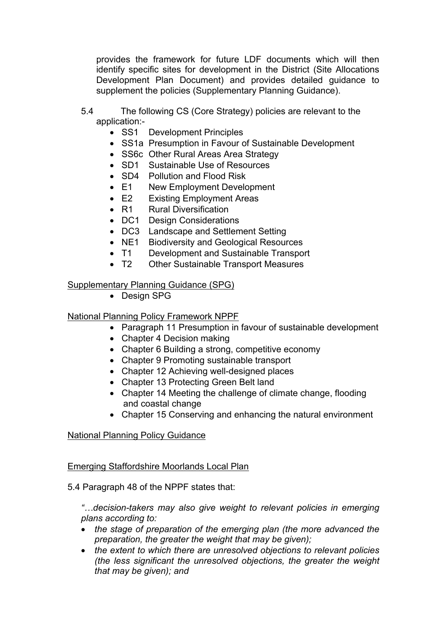provides the framework for future LDF documents which will then identify specific sites for development in the District (Site Allocations Development Plan Document) and provides detailed guidance to supplement the policies (Supplementary Planning Guidance).

- 5.4 The following CS (Core Strategy) policies are relevant to the application:-
	- SS1 Development Principles
	- SS1a Presumption in Favour of Sustainable Development
	- SS6c Other Rural Areas Area Strategy
	- SD1 Sustainable Use of Resources
	- SD4 Pollution and Flood Risk
	- E1 New Employment Development
	- E2 Existing Employment Areas
	- R1 Rural Diversification
	- DC1 Design Considerations
	- DC3 Landscape and Settlement Setting
	- NE1 Biodiversity and Geological Resources
	- T1 Development and Sustainable Transport
	- T2 Other Sustainable Transport Measures

### Supplementary Planning Guidance (SPG)

• Design SPG

### National Planning Policy Framework NPPF

- Paragraph 11 Presumption in favour of sustainable development
- Chapter 4 Decision making
- Chapter 6 Building a strong, competitive economy
- Chapter 9 Promoting sustainable transport
- Chapter 12 Achieving well-designed places
- Chapter 13 Protecting Green Belt land
- Chapter 14 Meeting the challenge of climate change, flooding and coastal change
- Chapter 15 Conserving and enhancing the natural environment

### National Planning Policy Guidance

### Emerging Staffordshire Moorlands Local Plan

### 5.4 Paragraph 48 of the NPPF states that:

*"…decision-takers may also give weight to relevant policies in emerging plans according to:*

- *the stage of preparation of the emerging plan (the more advanced the preparation, the greater the weight that may be given);*
- *the extent to which there are unresolved objections to relevant policies (the less significant the unresolved objections, the greater the weight that may be given); and*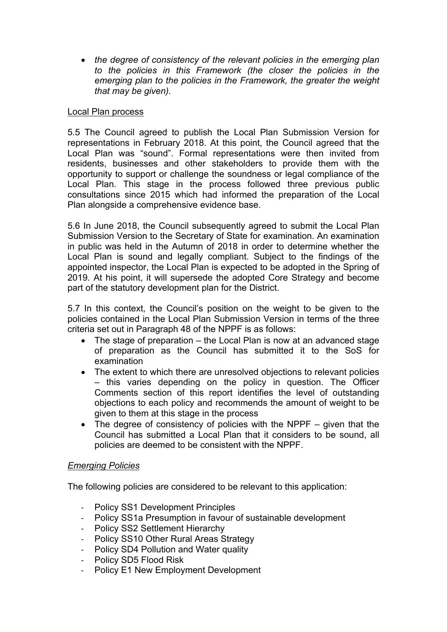*the degree of consistency of the relevant policies in the emerging plan to the policies in this Framework (the closer the policies in the emerging plan to the policies in the Framework, the greater the weight that may be given).*

### Local Plan process

5.5 The Council agreed to publish the Local Plan Submission Version for representations in February 2018. At this point, the Council agreed that the Local Plan was "sound". Formal representations were then invited from residents, businesses and other stakeholders to provide them with the opportunity to support or challenge the soundness or legal compliance of the Local Plan. This stage in the process followed three previous public consultations since 2015 which had informed the preparation of the Local Plan alongside a comprehensive evidence base.

5.6 In June 2018, the Council subsequently agreed to submit the Local Plan Submission Version to the Secretary of State for examination. An examination in public was held in the Autumn of 2018 in order to determine whether the Local Plan is sound and legally compliant. Subject to the findings of the appointed inspector, the Local Plan is expected to be adopted in the Spring of 2019. At his point, it will supersede the adopted Core Strategy and become part of the statutory development plan for the District.

5.7 In this context, the Council's position on the weight to be given to the policies contained in the Local Plan Submission Version in terms of the three criteria set out in Paragraph 48 of the NPPF is as follows:

- The stage of preparation the Local Plan is now at an advanced stage of preparation as the Council has submitted it to the SoS for examination
- The extent to which there are unresolved objections to relevant policies – this varies depending on the policy in question. The Officer Comments section of this report identifies the level of outstanding objections to each policy and recommends the amount of weight to be given to them at this stage in the process
- The degree of consistency of policies with the NPPF given that the Council has submitted a Local Plan that it considers to be sound, all policies are deemed to be consistent with the NPPF.

### *Emerging Policies*

The following policies are considered to be relevant to this application:

- Policy SS1 Development Principles
- Policy SS1a Presumption in favour of sustainable development
- Policy SS2 Settlement Hierarchy
- Policy SS10 Other Rural Areas Strategy
- Policy SD4 Pollution and Water quality
- Policy SD5 Flood Risk
- Policy E1 New Employment Development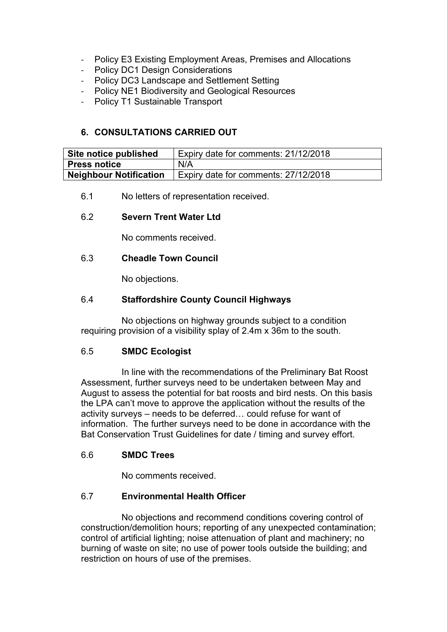- Policy E3 Existing Employment Areas, Premises and Allocations
- Policy DC1 Design Considerations
- Policy DC3 Landscape and Settlement Setting
- Policy NE1 Biodiversity and Geological Resources
- Policy T1 Sustainable Transport

## **6. CONSULTATIONS CARRIED OUT**

| Site notice published  | Expiry date for comments: 21/12/2018 |
|------------------------|--------------------------------------|
| Press notice           | N/A                                  |
| Neighbour Notification | Expiry date for comments: 27/12/2018 |

6.1 No letters of representation received.

### 6.2 **Severn Trent Water Ltd**

No comments received.

### 6.3 **Cheadle Town Council**

No objections.

### 6.4 **Staffordshire County Council Highways**

No objections on highway grounds subject to a condition requiring provision of a visibility splay of 2.4m x 36m to the south.

### 6.5 **SMDC Ecologist**

In line with the recommendations of the Preliminary Bat Roost Assessment, further surveys need to be undertaken between May and August to assess the potential for bat roosts and bird nests. On this basis the LPA can't move to approve the application without the results of the activity surveys – needs to be deferred… could refuse for want of information. The further surveys need to be done in accordance with the Bat Conservation Trust Guidelines for date / timing and survey effort.

### 6.6 **SMDC Trees**

No comments received.

## 6.7 **Environmental Health Officer**

No objections and recommend conditions covering control of construction/demolition hours; reporting of any unexpected contamination; control of artificial lighting; noise attenuation of plant and machinery; no burning of waste on site; no use of power tools outside the building; and restriction on hours of use of the premises.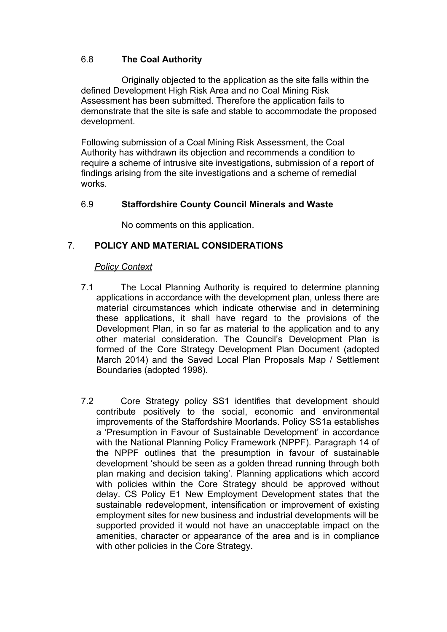### 6.8 **The Coal Authority**

Originally objected to the application as the site falls within the defined Development High Risk Area and no Coal Mining Risk Assessment has been submitted. Therefore the application fails to demonstrate that the site is safe and stable to accommodate the proposed development.

Following submission of a Coal Mining Risk Assessment, the Coal Authority has withdrawn its objection and recommends a condition to require a scheme of intrusive site investigations, submission of a report of findings arising from the site investigations and a scheme of remedial works.

### 6.9 **Staffordshire County Council Minerals and Waste**

No comments on this application.

## 7. **POLICY AND MATERIAL CONSIDERATIONS**

### *Policy Context*

- 7.1 The Local Planning Authority is required to determine planning applications in accordance with the development plan, unless there are material circumstances which indicate otherwise and in determining these applications, it shall have regard to the provisions of the Development Plan, in so far as material to the application and to any other material consideration. The Council's Development Plan is formed of the Core Strategy Development Plan Document (adopted March 2014) and the Saved Local Plan Proposals Map / Settlement Boundaries (adopted 1998).
- 7.2 Core Strategy policy SS1 identifies that development should contribute positively to the social, economic and environmental improvements of the Staffordshire Moorlands. Policy SS1a establishes a 'Presumption in Favour of Sustainable Development' in accordance with the National Planning Policy Framework (NPPF). Paragraph 14 of the NPPF outlines that the presumption in favour of sustainable development 'should be seen as a golden thread running through both plan making and decision taking'. Planning applications which accord with policies within the Core Strategy should be approved without delay. CS Policy E1 New Employment Development states that the sustainable redevelopment, intensification or improvement of existing employment sites for new business and industrial developments will be supported provided it would not have an unacceptable impact on the amenities, character or appearance of the area and is in compliance with other policies in the Core Strategy.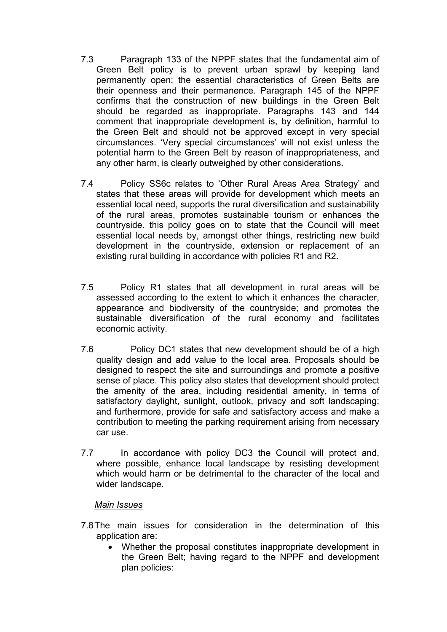- 7.3 Paragraph 133 of the NPPF states that the fundamental aim of Green Belt policy is to prevent urban sprawl by keeping land permanently open; the essential characteristics of Green Belts are their openness and their permanence. Paragraph 145 of the NPPF confirms that the construction of new buildings in the Green Belt should be regarded as inappropriate. Paragraphs 143 and 144 comment that inappropriate development is, by definition, harmful to the Green Belt and should not be approved except in very special circumstances. 'Very special circumstances' will not exist unless the potential harm to the Green Belt by reason of inappropriateness, and any other harm, is clearly outweighed by other considerations.
- 7.4 Policy SS6c relates to 'Other Rural Areas Area Strategy' and states that these areas will provide for development which meets an essential local need, supports the rural diversification and sustainability of the rural areas, promotes sustainable tourism or enhances the countryside. this policy goes on to state that the Council will meet essential local needs by, amongst other things, restricting new build development in the countryside, extension or replacement of an existing rural building in accordance with policies R1 and R2.
- 7.5 Policy R1 states that all development in rural areas will be assessed according to the extent to which it enhances the character, appearance and biodiversity of the countryside; and promotes the sustainable diversification of the rural economy and facilitates economic activity.
- 7.6 Policy DC1 states that new development should be of a high quality design and add value to the local area. Proposals should be designed to respect the site and surroundings and promote a positive sense of place. This policy also states that development should protect the amenity of the area, including residential amenity, in terms of satisfactory daylight, sunlight, outlook, privacy and soft landscaping; and furthermore, provide for safe and satisfactory access and make a contribution to meeting the parking requirement arising from necessary car use.
- 7.7 In accordance with policy DC3 the Council will protect and, where possible, enhance local landscape by resisting development which would harm or be detrimental to the character of the local and wider landscape.

#### *Main Issues*

- 7.8The main issues for consideration in the determination of this application are:
	- Whether the proposal constitutes inappropriate development in the Green Belt; having regard to the NPPF and development plan policies: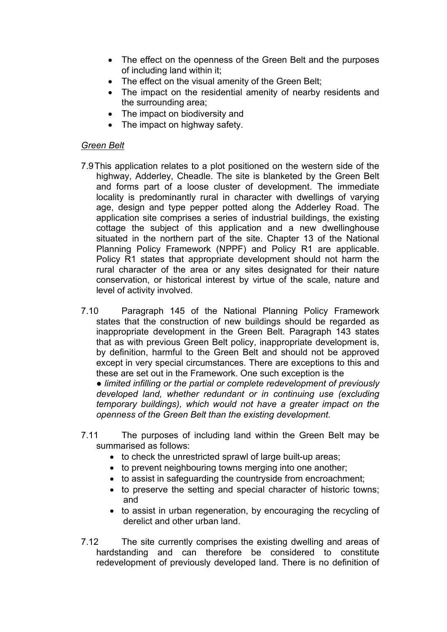- The effect on the openness of the Green Belt and the purposes of including land within it;
- The effect on the visual amenity of the Green Belt;
- The impact on the residential amenity of nearby residents and the surrounding area;
- The impact on biodiversity and
- The impact on highway safety.

## *Green Belt*

- 7.9This application relates to a plot positioned on the western side of the highway, Adderley, Cheadle. The site is blanketed by the Green Belt and forms part of a loose cluster of development. The immediate locality is predominantly rural in character with dwellings of varying age, design and type pepper potted along the Adderley Road. The application site comprises a series of industrial buildings, the existing cottage the subject of this application and a new dwellinghouse situated in the northern part of the site. Chapter 13 of the National Planning Policy Framework (NPPF) and Policy R1 are applicable. Policy R1 states that appropriate development should not harm the rural character of the area or any sites designated for their nature conservation, or historical interest by virtue of the scale, nature and level of activity involved.
- 7.10 Paragraph 145 of the National Planning Policy Framework states that the construction of new buildings should be regarded as inappropriate development in the Green Belt. Paragraph 143 states that as with previous Green Belt policy, inappropriate development is, by definition, harmful to the Green Belt and should not be approved except in very special circumstances. There are exceptions to this and these are set out in the Framework. One such exception is the

*● limited infilling or the partial or complete redevelopment of previously developed land, whether redundant or in continuing use (excluding temporary buildings), which would not have a greater impact on the openness of the Green Belt than the existing development.*

- 7.11 The purposes of including land within the Green Belt may be summarised as follows:
	- to check the unrestricted sprawl of large built-up areas;
	- to prevent neighbouring towns merging into one another;
	- to assist in safeguarding the countryside from encroachment;
	- to preserve the setting and special character of historic towns; and
	- to assist in urban regeneration, by encouraging the recycling of derelict and other urban land.
- 7.12 The site currently comprises the existing dwelling and areas of hardstanding and can therefore be considered to constitute redevelopment of previously developed land. There is no definition of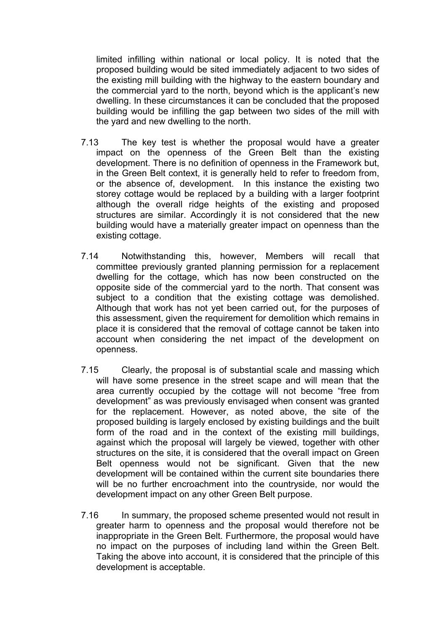limited infilling within national or local policy. It is noted that the proposed building would be sited immediately adjacent to two sides of the existing mill building with the highway to the eastern boundary and the commercial yard to the north, beyond which is the applicant's new dwelling. In these circumstances it can be concluded that the proposed building would be infilling the gap between two sides of the mill with the yard and new dwelling to the north.

- 7.13 The key test is whether the proposal would have a greater impact on the openness of the Green Belt than the existing development. There is no definition of openness in the Framework but, in the Green Belt context, it is generally held to refer to freedom from, or the absence of, development. In this instance the existing two storey cottage would be replaced by a building with a larger footprint although the overall ridge heights of the existing and proposed structures are similar. Accordingly it is not considered that the new building would have a materially greater impact on openness than the existing cottage.
- 7.14 Notwithstanding this, however, Members will recall that committee previously granted planning permission for a replacement dwelling for the cottage, which has now been constructed on the opposite side of the commercial yard to the north. That consent was subject to a condition that the existing cottage was demolished. Although that work has not yet been carried out, for the purposes of this assessment, given the requirement for demolition which remains in place it is considered that the removal of cottage cannot be taken into account when considering the net impact of the development on openness.
- 7.15 Clearly, the proposal is of substantial scale and massing which will have some presence in the street scape and will mean that the area currently occupied by the cottage will not become "free from development" as was previously envisaged when consent was granted for the replacement. However, as noted above, the site of the proposed building is largely enclosed by existing buildings and the built form of the road and in the context of the existing mill buildings, against which the proposal will largely be viewed, together with other structures on the site, it is considered that the overall impact on Green Belt openness would not be significant. Given that the new development will be contained within the current site boundaries there will be no further encroachment into the countryside, nor would the development impact on any other Green Belt purpose.
- 7.16 In summary, the proposed scheme presented would not result in greater harm to openness and the proposal would therefore not be inappropriate in the Green Belt. Furthermore, the proposal would have no impact on the purposes of including land within the Green Belt. Taking the above into account, it is considered that the principle of this development is acceptable.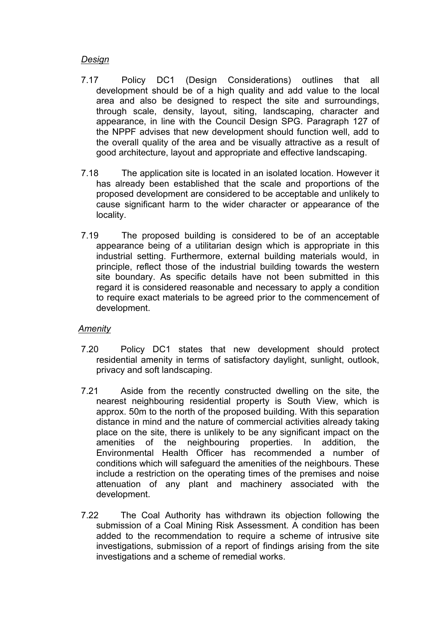### *Design*

- 7.17 Policy DC1 (Design Considerations) outlines that all development should be of a high quality and add value to the local area and also be designed to respect the site and surroundings, through scale, density, layout, siting, landscaping, character and appearance, in line with the Council Design SPG. Paragraph 127 of the NPPF advises that new development should function well, add to the overall quality of the area and be visually attractive as a result of good architecture, layout and appropriate and effective landscaping.
- 7.18 The application site is located in an isolated location. However it has already been established that the scale and proportions of the proposed development are considered to be acceptable and unlikely to cause significant harm to the wider character or appearance of the locality.
- 7.19 The proposed building is considered to be of an acceptable appearance being of a utilitarian design which is appropriate in this industrial setting. Furthermore, external building materials would, in principle, reflect those of the industrial building towards the western site boundary. As specific details have not been submitted in this regard it is considered reasonable and necessary to apply a condition to require exact materials to be agreed prior to the commencement of development.

### *Amenity*

- 7.20 Policy DC1 states that new development should protect residential amenity in terms of satisfactory daylight, sunlight, outlook, privacy and soft landscaping.
- 7.21 Aside from the recently constructed dwelling on the site, the nearest neighbouring residential property is South View, which is approx. 50m to the north of the proposed building. With this separation distance in mind and the nature of commercial activities already taking place on the site, there is unlikely to be any significant impact on the amenities of the neighbouring properties. In addition, the Environmental Health Officer has recommended a number of conditions which will safeguard the amenities of the neighbours. These include a restriction on the operating times of the premises and noise attenuation of any plant and machinery associated with the development.
- 7.22 The Coal Authority has withdrawn its objection following the submission of a Coal Mining Risk Assessment. A condition has been added to the recommendation to require a scheme of intrusive site investigations, submission of a report of findings arising from the site investigations and a scheme of remedial works.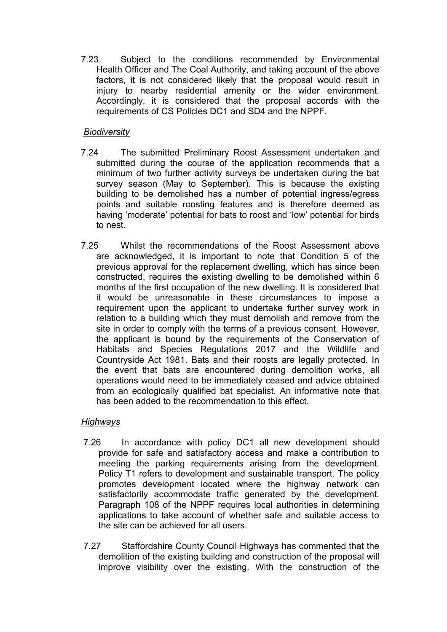7.23 Subject to the conditions recommended by Environmental Health Officer and The Coal Authority, and taking account of the above factors, it is not considered likely that the proposal would result in injury to nearby residential amenity or the wider environment. Accordingly, it is considered that the proposal accords with the requirements of CS Policies DC1 and SD4 and the NPPF.

## *Biodiversity*

- 7.24 The submitted Preliminary Roost Assessment undertaken and submitted during the course of the application recommends that a minimum of two further activity surveys be undertaken during the bat survey season (May to September). This is because the existing building to be demolished has a number of potential ingress/egress points and suitable roosting features and is therefore deemed as having 'moderate' potential for bats to roost and 'low' potential for birds to nest.
- 7.25 Whilst the recommendations of the Roost Assessment above are acknowledged, it is important to note that Condition 5 of the previous approval for the replacement dwelling, which has since been constructed, requires the existing dwelling to be demolished within 6 months of the first occupation of the new dwelling. It is considered that it would be unreasonable in these circumstances to impose a requirement upon the applicant to undertake further survey work in relation to a building which they must demolish and remove from the site in order to comply with the terms of a previous consent. However, the applicant is bound by the requirements of the Conservation of Habitats and Species Regulations 2017 and the Wildlife and Countryside Act 1981. Bats and their roosts are legally protected. In the event that bats are encountered during demolition works, all operations would need to be immediately ceased and advice obtained from an ecologically qualified bat specialist. An informative note that has been added to the recommendation to this effect.

## *Highways*

- 7.26 In accordance with policy DC1 all new development should provide for safe and satisfactory access and make a contribution to meeting the parking requirements arising from the development. Policy T1 refers to development and sustainable transport. The policy promotes development located where the highway network can satisfactorily accommodate traffic generated by the development. Paragraph 108 of the NPPF requires local authorities in determining applications to take account of whether safe and suitable access to the site can be achieved for all users.
- 7.27 Staffordshire County Council Highways has commented that the demolition of the existing building and construction of the proposal will improve visibility over the existing. With the construction of the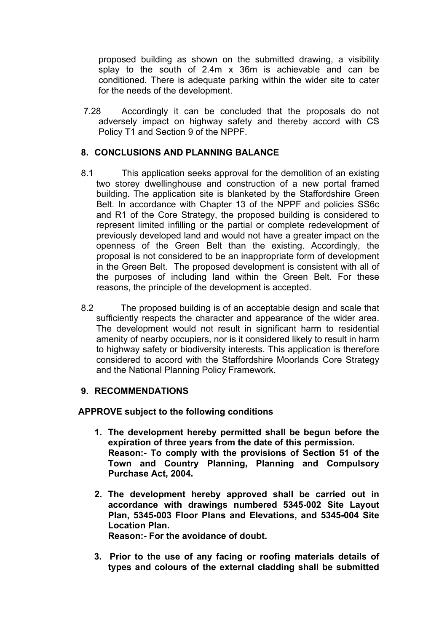proposed building as shown on the submitted drawing, a visibility splay to the south of 2.4m x 36m is achievable and can be conditioned. There is adequate parking within the wider site to cater for the needs of the development.

7.28 Accordingly it can be concluded that the proposals do not adversely impact on highway safety and thereby accord with CS Policy T1 and Section 9 of the NPPF.

### **8. CONCLUSIONS AND PLANNING BALANCE**

- 8.1 This application seeks approval for the demolition of an existing two storey dwellinghouse and construction of a new portal framed building. The application site is blanketed by the Staffordshire Green Belt. In accordance with Chapter 13 of the NPPF and policies SS6c and R1 of the Core Strategy, the proposed building is considered to represent limited infilling or the partial or complete redevelopment of previously developed land and would not have a greater impact on the openness of the Green Belt than the existing. Accordingly, the proposal is not considered to be an inappropriate form of development in the Green Belt. The proposed development is consistent with all of the purposes of including land within the Green Belt. For these reasons, the principle of the development is accepted.
- 8.2 The proposed building is of an acceptable design and scale that sufficiently respects the character and appearance of the wider area. The development would not result in significant harm to residential amenity of nearby occupiers, nor is it considered likely to result in harm to highway safety or biodiversity interests. This application is therefore considered to accord with the Staffordshire Moorlands Core Strategy and the National Planning Policy Framework.

### **9. RECOMMENDATIONS**

**APPROVE subject to the following conditions**

- **1. The development hereby permitted shall be begun before the expiration of three years from the date of this permission. Reason:- To comply with the provisions of Section 51 of the Town and Country Planning, Planning and Compulsory Purchase Act, 2004.**
- **2. The development hereby approved shall be carried out in accordance with drawings numbered 5345-002 Site Layout Plan, 5345-003 Floor Plans and Elevations, and 5345-004 Site Location Plan. Reason:- For the avoidance of doubt.**
- **3. Prior to the use of any facing or roofing materials details of types and colours of the external cladding shall be submitted**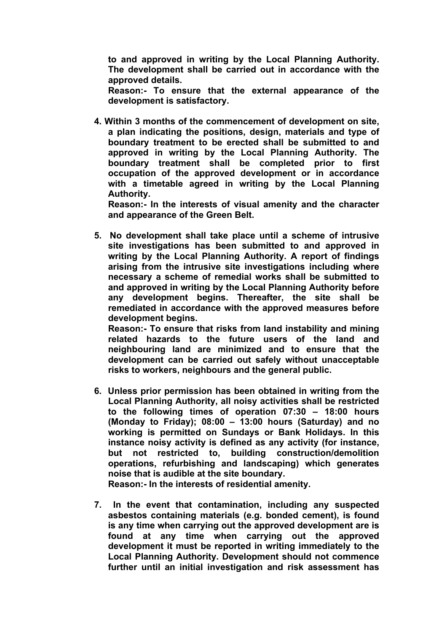**to and approved in writing by the Local Planning Authority. The development shall be carried out in accordance with the approved details.**

**Reason:- To ensure that the external appearance of the development is satisfactory.**

**4. Within 3 months of the commencement of development on site, a plan indicating the positions, design, materials and type of boundary treatment to be erected shall be submitted to and approved in writing by the Local Planning Authority. The boundary treatment shall be completed prior to first occupation of the approved development or in accordance with a timetable agreed in writing by the Local Planning Authority.**

**Reason:- In the interests of visual amenity and the character and appearance of the Green Belt.**

**5. No development shall take place until a scheme of intrusive site investigations has been submitted to and approved in writing by the Local Planning Authority. A report of findings arising from the intrusive site investigations including where necessary a scheme of remedial works shall be submitted to and approved in writing by the Local Planning Authority before any development begins. Thereafter, the site shall be remediated in accordance with the approved measures before development begins.**

**Reason:- To ensure that risks from land instability and mining related hazards to the future users of the land and neighbouring land are minimized and to ensure that the development can be carried out safely without unacceptable risks to workers, neighbours and the general public.**

**6. Unless prior permission has been obtained in writing from the Local Planning Authority, all noisy activities shall be restricted to the following times of operation 07:30 – 18:00 hours (Monday to Friday); 08:00 – 13:00 hours (Saturday) and no working is permitted on Sundays or Bank Holidays. In this instance noisy activity is defined as any activity (for instance, but not restricted to, building construction/demolition operations, refurbishing and landscaping) which generates noise that is audible at the site boundary.**

**Reason:- In the interests of residential amenity.**

**7. In the event that contamination, including any suspected asbestos containing materials (e.g. bonded cement), is found is any time when carrying out the approved development are is found at any time when carrying out the approved development it must be reported in writing immediately to the Local Planning Authority. Development should not commence further until an initial investigation and risk assessment has**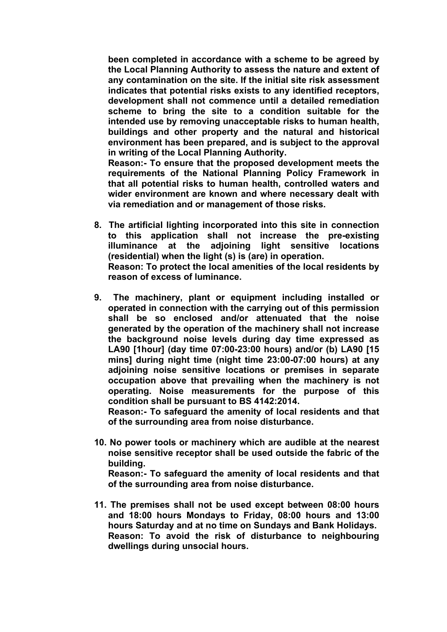**been completed in accordance with a scheme to be agreed by the Local Planning Authority to assess the nature and extent of any contamination on the site. If the initial site risk assessment indicates that potential risks exists to any identified receptors, development shall not commence until a detailed remediation scheme to bring the site to a condition suitable for the intended use by removing unacceptable risks to human health, buildings and other property and the natural and historical environment has been prepared, and is subject to the approval in writing of the Local Planning Authority.**

**Reason:- To ensure that the proposed development meets the requirements of the National Planning Policy Framework in that all potential risks to human health, controlled waters and wider environment are known and where necessary dealt with via remediation and or management of those risks.**

**8. The artificial lighting incorporated into this site in connection to this application shall not increase the pre-existing illuminance at the adjoining light sensitive locations (residential) when the light (s) is (are) in operation. Reason: To protect the local amenities of the local residents by**

**reason of excess of luminance.**

**9. The machinery, plant or equipment including installed or operated in connection with the carrying out of this permission shall be so enclosed and/or attenuated that the noise generated by the operation of the machinery shall not increase the background noise levels during day time expressed as LA90 [1hour] (day time 07:00-23:00 hours) and/or (b) LA90 [15 mins] during night time (night time 23:00-07:00 hours) at any adjoining noise sensitive locations or premises in separate occupation above that prevailing when the machinery is not operating. Noise measurements for the purpose of this condition shall be pursuant to BS 4142:2014.**

**Reason:- To safeguard the amenity of local residents and that of the surrounding area from noise disturbance.**

**10. No power tools or machinery which are audible at the nearest noise sensitive receptor shall be used outside the fabric of the building. Reason:- To safeguard the amenity of local residents and that**

**of the surrounding area from noise disturbance.**

**11. The premises shall not be used except between 08:00 hours and 18:00 hours Mondays to Friday, 08:00 hours and 13:00 hours Saturday and at no time on Sundays and Bank Holidays. Reason: To avoid the risk of disturbance to neighbouring dwellings during unsocial hours.**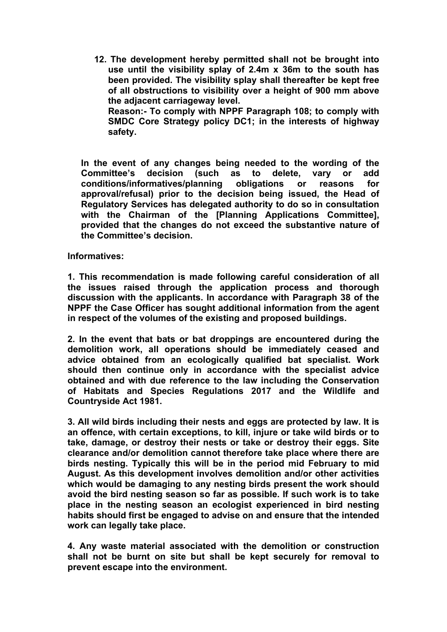**12. The development hereby permitted shall not be brought into use until the visibility splay of 2.4m x 36m to the south has been provided. The visibility splay shall thereafter be kept free of all obstructions to visibility over a height of 900 mm above the adjacent carriageway level. Reason:- To comply with NPPF Paragraph 108; to comply with SMDC Core Strategy policy DC1; in the interests of highway safety.**

**In the event of any changes being needed to the wording of the Committee's decision (such as to delete, vary or add conditions/informatives/planning obligations or reasons for approval/refusal) prior to the decision being issued, the Head of Regulatory Services has delegated authority to do so in consultation with the Chairman of the [Planning Applications Committee], provided that the changes do not exceed the substantive nature of the Committee's decision.**

#### **Informatives:**

**1. This recommendation is made following careful consideration of all the issues raised through the application process and thorough discussion with the applicants. In accordance with Paragraph 38 of the NPPF the Case Officer has sought additional information from the agent in respect of the volumes of the existing and proposed buildings.**

**2. In the event that bats or bat droppings are encountered during the demolition work, all operations should be immediately ceased and advice obtained from an ecologically qualified bat specialist. Work should then continue only in accordance with the specialist advice obtained and with due reference to the law including the Conservation of Habitats and Species Regulations 2017 and the Wildlife and Countryside Act 1981.**

**3. All wild birds including their nests and eggs are protected by law. It is an offence, with certain exceptions, to kill, injure or take wild birds or to take, damage, or destroy their nests or take or destroy their eggs. Site clearance and/or demolition cannot therefore take place where there are birds nesting. Typically this will be in the period mid February to mid August. As this development involves demolition and/or other activities which would be damaging to any nesting birds present the work should avoid the bird nesting season so far as possible. If such work is to take place in the nesting season an ecologist experienced in bird nesting habits should first be engaged to advise on and ensure that the intended work can legally take place.**

**4. Any waste material associated with the demolition or construction shall not be burnt on site but shall be kept securely for removal to prevent escape into the environment.**